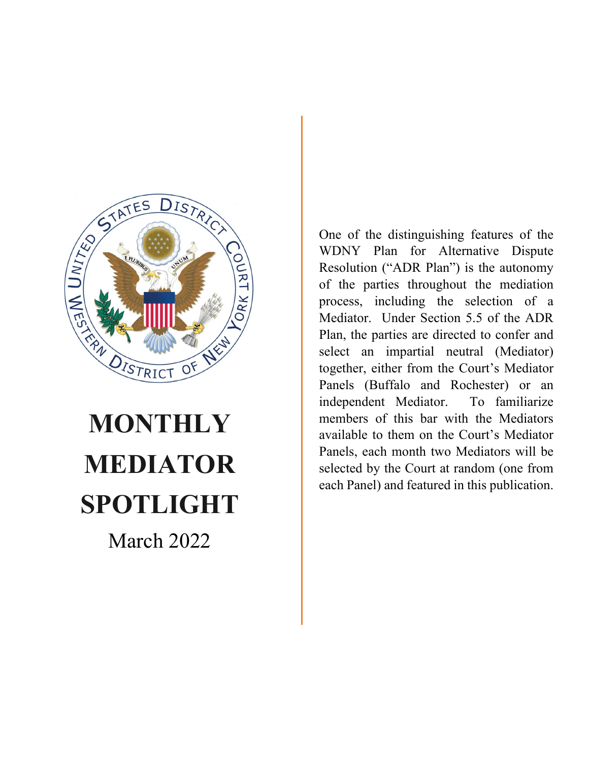

## **MONTHLY MEDIATOR SPOTLIGHT**

March 2022

One of the distinguishing features of the WDNY Plan for Alternative Dispute Resolution ("ADR Plan") is the autonomy of the parties throughout the mediation process, including the selection of a Mediator. Under Section 5.5 of the ADR Plan, the parties are directed to confer and select an impartial neutral (Mediator) together, either from the Court's Mediator Panels (Buffalo and Rochester) or an independent Mediator. To familiarize members of this bar with the Mediators available to them on the Court's Mediator Panels, each month two Mediators will be selected by the Court at random (one from each Panel) and featured in this publication.